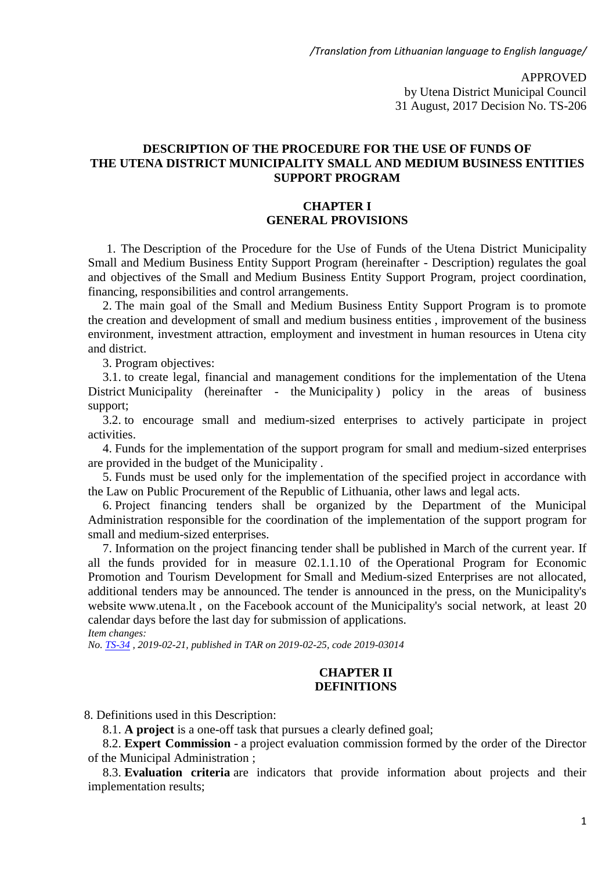APPROVED by Utena District Municipal Council 31 August, 2017 Decision No. TS-206

#### **DESCRIPTION OF THE PROCEDURE FOR THE USE OF FUNDS OF THE UTENA DISTRICT MUNICIPALITY SMALL AND MEDIUM BUSINESS ENTITIES SUPPORT PROGRAM**

#### **CHAPTER I GENERAL PROVISIONS**

1. The Description of the Procedure for the Use of Funds of the Utena District Municipality Small and Medium Business Entity Support Program (hereinafter - Description) regulates the goal and objectives of the Small and Medium Business Entity Support Program, project coordination, financing, responsibilities and control arrangements.

2. The main goal of the Small and Medium Business Entity Support Program is to promote the creation and development of small and medium business entities , improvement of the business environment, investment attraction, employment and investment in human resources in Utena city and district.

3. Program objectives:

3.1. to create legal, financial and management conditions for the implementation of the Utena District Municipality (hereinafter - the Municipality) policy in the areas of business support;

3.2. to encourage small and medium-sized enterprises to actively participate in project activities.

4. Funds for the implementation of the support program for small and medium-sized enterprises are provided in the budget of the Municipality .

5. Funds must be used only for the implementation of the specified project in accordance with the Law on Public Procurement of the Republic of Lithuania, other laws and legal acts.

6. Project financing tenders shall be organized by the Department of the Municipal Administration responsible for the coordination of the implementation of the support program for small and medium-sized enterprises.

7. Information on the project financing tender shall be published in March of the current year. If all the funds provided for in measure 02.1.1.10 of the Operational Program for Economic Promotion and Tourism Development for Small and Medium-sized Enterprises are not allocated, additional tenders may be announced. The tender is announced in the press, on the Municipality's website www.utena.lt , on the Facebook account of the Municipality's social network, at least 20 calendar days before the last day for submission of applications. *Item changes:*

*No. TS-34 , 2019-02-21, published in TAR on 2019-02-25, code 2019-03014*

### **CHAPTER II DEFINITIONS**

8. Definitions used in this Description:

8.1. **A project** is a one-off task that pursues a clearly defined goal;

8.2. **Expert Commission** - a project evaluation commission formed by the order of the Director of the Municipal Administration ;

8.3. **Evaluation criteria** are indicators that provide information about projects and their implementation results;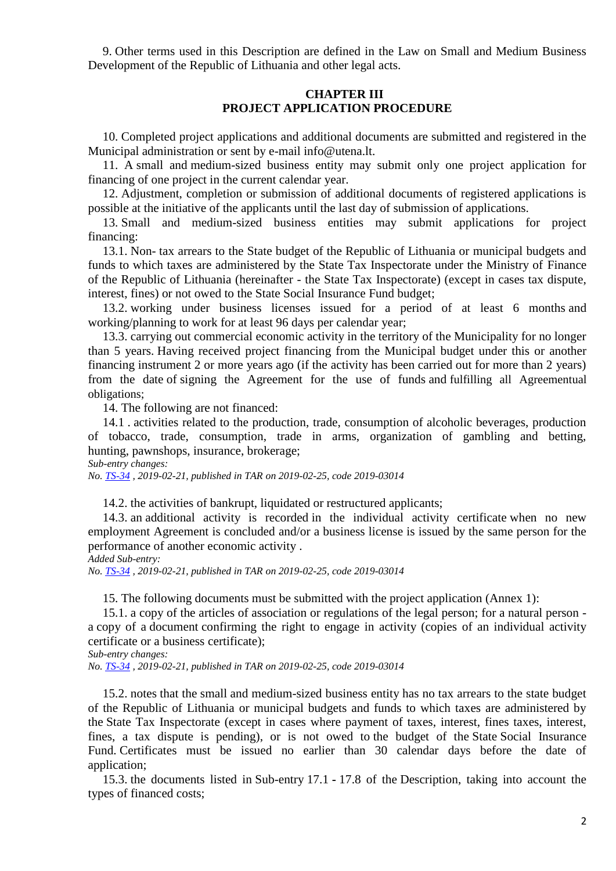9. Other terms used in this Description are defined in the Law on Small and Medium Business Development of the Republic of Lithuania and other legal acts.

#### **CHAPTER III PROJECT APPLICATION PROCEDURE**

10. Completed project applications and additional documents are submitted and registered in the Municipal administration or sent by e-mail info@utena.lt.

11. A small and medium-sized business entity may submit only one project application for financing of one project in the current calendar year.

12. Adjustment, completion or submission of additional documents of registered applications is possible at the initiative of the applicants until the last day of submission of applications.

13. Small and medium-sized business entities may submit applications for project financing:

13.1. Non- tax arrears to the State budget of the Republic of Lithuania or municipal budgets and funds to which taxes are administered by the State Tax Inspectorate under the Ministry of Finance of the Republic of Lithuania (hereinafter - the State Tax Inspectorate) (except in cases tax dispute, interest, fines) or not owed to the State Social Insurance Fund budget;

13.2. working under business licenses issued for a period of at least 6 months and working/planning to work for at least 96 days per calendar year;

13.3. carrying out commercial economic activity in the territory of the Municipality for no longer than 5 years. Having received project financing from the Municipal budget under this or another financing instrument 2 or more years ago (if the activity has been carried out for more than 2 years) from the date of signing the Agreement for the use of funds and fulfilling all Agreementual obligations;

14. The following are not financed:

14.1 . activities related to the production, trade, consumption of alcoholic beverages, production of tobacco, trade, consumption, trade in arms, organization of gambling and betting, hunting, pawnshops, insurance, brokerage;

*Sub-entry changes:*

*No. TS-34 , 2019-02-21, published in TAR on 2019-02-25, code 2019-03014*

14.2. the activities of bankrupt, liquidated or restructured applicants;

14.3. an additional activity is recorded in the individual activity certificate when no new employment Agreement is concluded and/or a business license is issued by the same person for the performance of another economic activity .

*Added Sub-entry:*

*No. TS-34 , 2019-02-21, published in TAR on 2019-02-25, code 2019-03014*

15. The following documents must be submitted with the project application (Annex 1):

15.1. a copy of the articles of association or regulations of the legal person; for a natural person a copy of a document confirming the right to engage in activity (copies of an individual activity certificate or a business certificate);

*Sub-entry changes:*

*No. TS-34 , 2019-02-21, published in TAR on 2019-02-25, code 2019-03014*

15.2. notes that the small and medium-sized business entity has no tax arrears to the state budget of the Republic of Lithuania or municipal budgets and funds to which taxes are administered by the State Tax Inspectorate (except in cases where payment of taxes, interest, fines taxes, interest, fines, a tax dispute is pending), or is not owed to the budget of the State Social Insurance Fund. Certificates must be issued no earlier than 30 calendar days before the date of application;

15.3. the documents listed in Sub-entry 17.1 **-** 17.8 of the Description, taking into account the types of financed costs;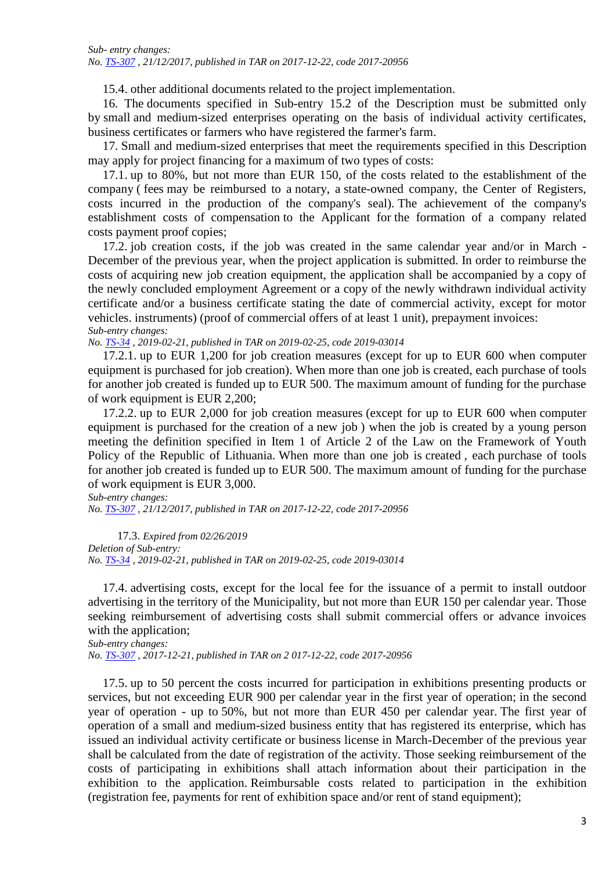15.4. other additional documents related to the project implementation.

16. The documents specified in Sub-entry 15.2 of the Description must be submitted only by small and medium-sized enterprises operating on the basis of individual activity certificates, business certificates or farmers who have registered the farmer's farm.

17. Small and medium-sized enterprises that meet the requirements specified in this Description may apply for project financing for a maximum of two types of costs:

17.1. up to 80%, but not more than EUR 150, of the costs related to the establishment of the company ( fees may be reimbursed to a notary, a state-owned company, the Center of Registers, costs incurred in the production of the company's seal). The achievement of the company's establishment costs of compensation to the Applicant for the formation of a company related costs payment proof copies;

17.2. job creation costs, if the job was created in the same calendar year and/or in March - December of the previous year, when the project application is submitted. In order to reimburse the costs of acquiring new job creation equipment, the application shall be accompanied by a copy of the newly concluded employment Agreement or a copy of the newly withdrawn individual activity certificate and/or a business certificate stating the date of commercial activity, except for motor vehicles. instruments) (proof of commercial offers of at least 1 unit), prepayment invoices: *Sub-entry changes:*

*No. TS-34 , 2019-02-21, published in TAR on 2019-02-25, code 2019-03014*

17.2.1. up to EUR 1,200 for job creation measures (except for up to EUR 600 when computer equipment is purchased for job creation). When more than one job is created, each purchase of tools for another job created is funded up to EUR 500. The maximum amount of funding for the purchase of work equipment is EUR 2,200;

17.2.2. up to EUR 2,000 for job creation measures (except for up to EUR 600 when computer equipment is purchased for the creation of a new job ) when the job is created by a young person meeting the definition specified in Item 1 of Article 2 of the Law on the Framework of Youth Policy of the Republic of Lithuania. When more than one job is created , each purchase of tools for another job created is funded up to EUR 500. The maximum amount of funding for the purchase of work equipment is EUR 3,000.

*Sub-entry changes: No. TS-307 , 21/12/2017, published in TAR on 2017-12-22, code 2017-20956*

17.3. *Expired from 02/26/2019 Deletion of Sub-entry: No. TS-34 , 2019-02-21, published in TAR on 2019-02-25, code 2019-03014*

17.4. advertising costs, except for the local fee for the issuance of a permit to install outdoor advertising in the territory of the Municipality, but not more than EUR 150 per calendar year. Those seeking reimbursement of advertising costs shall submit commercial offers or advance invoices with the application;

*Sub-entry changes: No. TS-307 , 2017-12-21, published in TAR on 2 017-12-22, code 2017-20956*

17.5. up to 50 percent the costs incurred for participation in exhibitions presenting products or services, but not exceeding EUR 900 per calendar year in the first year of operation; in the second year of operation - up to 50%, but not more than EUR 450 per calendar year. The first year of operation of a small and medium-sized business entity that has registered its enterprise, which has issued an individual activity certificate or business license in March-December of the previous year shall be calculated from the date of registration of the activity. Those seeking reimbursement of the costs of participating in exhibitions shall attach information about their participation in the exhibition to the application. Reimbursable costs related to participation in the exhibition (registration fee, payments for rent of exhibition space and/or rent of stand equipment);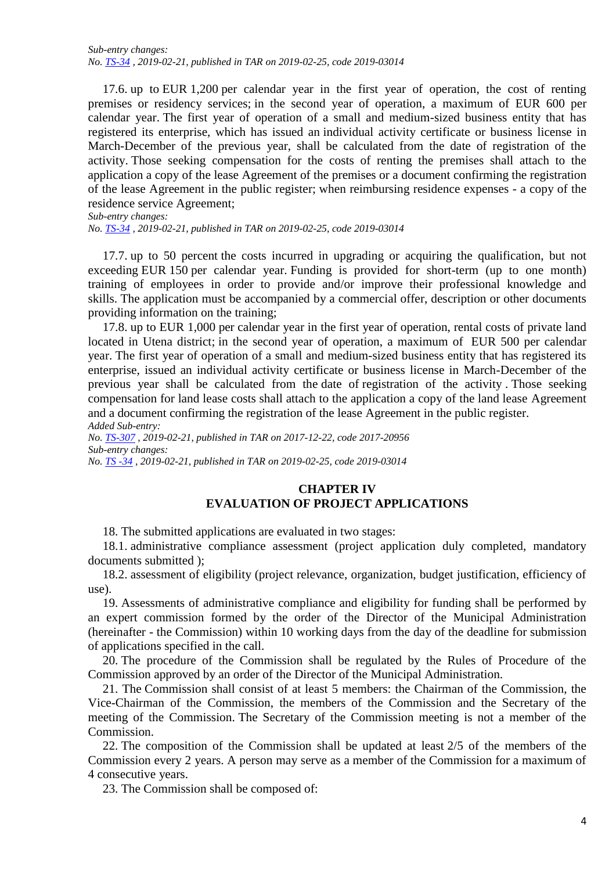17.6. up to EUR 1,200 per calendar year in the first year of operation, the cost of renting premises or residency services; in the second year of operation, a maximum of EUR 600 per calendar year. The first year of operation of a small and medium-sized business entity that has registered its enterprise, which has issued an individual activity certificate or business license in March-December of the previous year, shall be calculated from the date of registration of the activity. Those seeking compensation for the costs of renting the premises shall attach to the application a copy of the lease Agreement of the premises or a document confirming the registration of the lease Agreement in the public register; when reimbursing residence expenses - a copy of the residence service Agreement;

*Sub-entry changes:*

*No. TS-34 , 2019-02-21, published in TAR on 2019-02-25, code 2019-03014*

17.7. up to 50 percent the costs incurred in upgrading or acquiring the qualification, but not exceeding EUR 150 per calendar year. Funding is provided for short-term (up to one month) training of employees in order to provide and/or improve their professional knowledge and skills. The application must be accompanied by a commercial offer, description or other documents providing information on the training;

17.8. up to EUR 1,000 per calendar year in the first year of operation, rental costs of private land located in Utena district; in the second year of operation, a maximum of EUR 500 per calendar year. The first year of operation of a small and medium-sized business entity that has registered its enterprise, issued an individual activity certificate or business license in March-December of the previous year shall be calculated from the date of registration of the activity . Those seeking compensation for land lease costs shall attach to the application a copy of the land lease Agreement and a document confirming the registration of the lease Agreement in the public register. *Added Sub-entry:*

*No. TS-307 , 2019-02-21, published in TAR on 2017-12-22, code 2017-20956 Sub-entry changes:*

*No. TS -34 , 2019-02-21, published in TAR on 2019-02-25, code 2019-03014*

### **CHAPTER IV EVALUATION OF PROJECT APPLICATIONS**

18. The submitted applications are evaluated in two stages:

18.1. administrative compliance assessment (project application duly completed, mandatory documents submitted );

18.2. assessment of eligibility (project relevance, organization, budget justification, efficiency of use).

19. Assessments of administrative compliance and eligibility for funding shall be performed by an expert commission formed by the order of the Director of the Municipal Administration (hereinafter - the Commission) within 10 working days from the day of the deadline for submission of applications specified in the call.

20. The procedure of the Commission shall be regulated by the Rules of Procedure of the Commission approved by an order of the Director of the Municipal Administration.

21. The Commission shall consist of at least 5 members: the Chairman of the Commission, the Vice-Chairman of the Commission, the members of the Commission and the Secretary of the meeting of the Commission. The Secretary of the Commission meeting is not a member of the Commission.

22. The composition of the Commission shall be updated at least 2/5 of the members of the Commission every 2 years. A person may serve as a member of the Commission for a maximum of 4 consecutive years.

23. The Commission shall be composed of: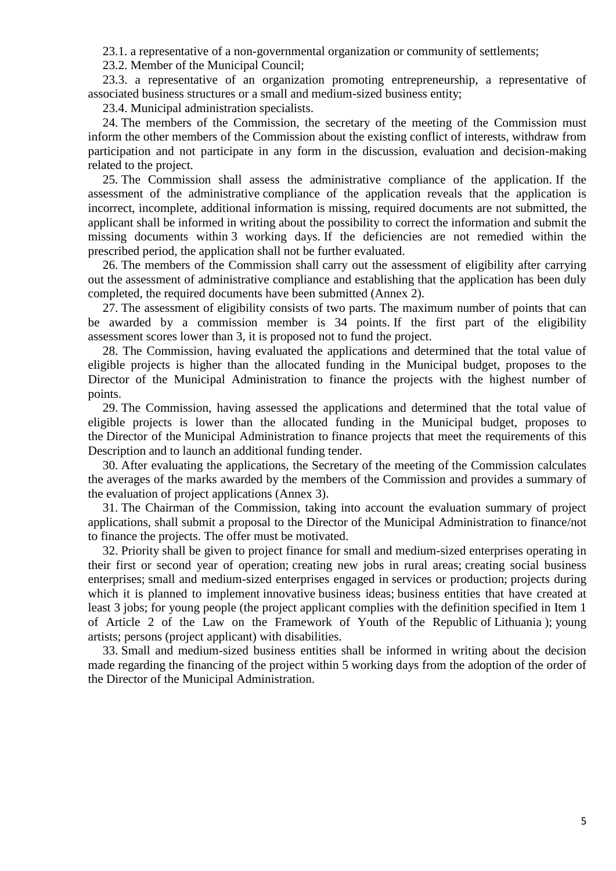23.1. a representative of a non-governmental organization or community of settlements;

23.2. Member of the Municipal Council;

23.3. a representative of an organization promoting entrepreneurship, a representative of associated business structures or a small and medium-sized business entity;

23.4. Municipal administration specialists.

24. The members of the Commission, the secretary of the meeting of the Commission must inform the other members of the Commission about the existing conflict of interests, withdraw from participation and not participate in any form in the discussion, evaluation and decision-making related to the project.

25. The Commission shall assess the administrative compliance of the application. If the assessment of the administrative compliance of the application reveals that the application is incorrect, incomplete, additional information is missing, required documents are not submitted, the applicant shall be informed in writing about the possibility to correct the information and submit the missing documents within 3 working days. If the deficiencies are not remedied within the prescribed period, the application shall not be further evaluated.

26. The members of the Commission shall carry out the assessment of eligibility after carrying out the assessment of administrative compliance and establishing that the application has been duly completed, the required documents have been submitted (Annex 2).

27. The assessment of eligibility consists of two parts. The maximum number of points that can be awarded by a commission member is 34 points. If the first part of the eligibility assessment scores lower than 3, it is proposed not to fund the project.

28. The Commission, having evaluated the applications and determined that the total value of eligible projects is higher than the allocated funding in the Municipal budget, proposes to the Director of the Municipal Administration to finance the projects with the highest number of points.

29. The Commission, having assessed the applications and determined that the total value of eligible projects is lower than the allocated funding in the Municipal budget, proposes to the Director of the Municipal Administration to finance projects that meet the requirements of this Description and to launch an additional funding tender.

30. After evaluating the applications, the Secretary of the meeting of the Commission calculates the averages of the marks awarded by the members of the Commission and provides a summary of the evaluation of project applications (Annex 3).

31. The Chairman of the Commission, taking into account the evaluation summary of project applications, shall submit a proposal to the Director of the Municipal Administration to finance/not to finance the projects. The offer must be motivated.

32. Priority shall be given to project finance for small and medium-sized enterprises operating in their first or second year of operation; creating new jobs in rural areas; creating social business enterprises; small and medium-sized enterprises engaged in services or production; projects during which it is planned to implement innovative business ideas; business entities that have created at least 3 jobs; for young people (the project applicant complies with the definition specified in Item 1 of Article 2 of the Law on the Framework of Youth of the Republic of Lithuania ); young artists; persons (project applicant) with disabilities.

33. Small and medium-sized business entities shall be informed in writing about the decision made regarding the financing of the project within 5 working days from the adoption of the order of the Director of the Municipal Administration.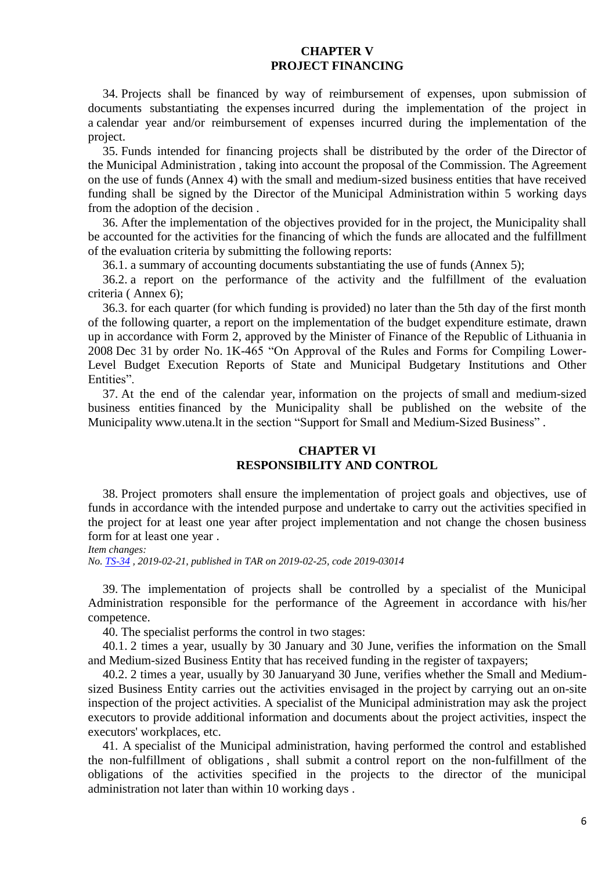#### **CHAPTER V PROJECT FINANCING**

34. Projects shall be financed by way of reimbursement of expenses, upon submission of documents substantiating the expenses incurred during the implementation of the project in a calendar year and/or reimbursement of expenses incurred during the implementation of the project.

35. Funds intended for financing projects shall be distributed by the order of the Director of the Municipal Administration , taking into account the proposal of the Commission. The Agreement on the use of funds (Annex 4) with the small and medium-sized business entities that have received funding shall be signed by the Director of the Municipal Administration within 5 working days from the adoption of the decision .

36. After the implementation of the objectives provided for in the project, the Municipality shall be accounted for the activities for the financing of which the funds are allocated and the fulfillment of the evaluation criteria by submitting the following reports:

36.1. a summary of accounting documents substantiating the use of funds (Annex 5);

36.2. a report on the performance of the activity and the fulfillment of the evaluation criteria ( Annex 6);

36.3. for each quarter (for which funding is provided) no later than the 5th day of the first month of the following quarter, a report on the implementation of the budget expenditure estimate, drawn up in accordance with Form 2, approved by the Minister of Finance of the Republic of Lithuania in 2008 Dec 31 by order No. 1K-465 "On Approval of the Rules and Forms for Compiling Lower-Level Budget Execution Reports of State and Municipal Budgetary Institutions and Other Entities".

37. At the end of the calendar year, information on the projects of small and medium-sized business entities financed by the Municipality shall be published on the website of the Municipality www.utena.lt in the section "Support for Small and Medium-Sized Business" .

### **CHAPTER VI RESPONSIBILITY AND CONTROL**

38. Project promoters shall ensure the implementation of project goals and objectives, use of funds in accordance with the intended purpose and undertake to carry out the activities specified in the project for at least one year after project implementation and not change the chosen business form for at least one year .

*Item changes: No. TS-34 , 2019-02-21, published in TAR on 2019-02-25, code 2019-03014*

39. The implementation of projects shall be controlled by a specialist of the Municipal Administration responsible for the performance of the Agreement in accordance with his/her competence.

40. The specialist performs the control in two stages:

40.1. 2 times a year, usually by 30 January and 30 June, verifies the information on the Small and Medium-sized Business Entity that has received funding in the register of taxpayers;

40.2. 2 times a year, usually by 30 Januaryand 30 June, verifies whether the Small and Mediumsized Business Entity carries out the activities envisaged in the project by carrying out an on-site inspection of the project activities. A specialist of the Municipal administration may ask the project executors to provide additional information and documents about the project activities, inspect the executors' workplaces, etc.

41. A specialist of the Municipal administration, having performed the control and established the non-fulfillment of obligations , shall submit a control report on the non-fulfillment of the obligations of the activities specified in the projects to the director of the municipal administration not later than within 10 working days .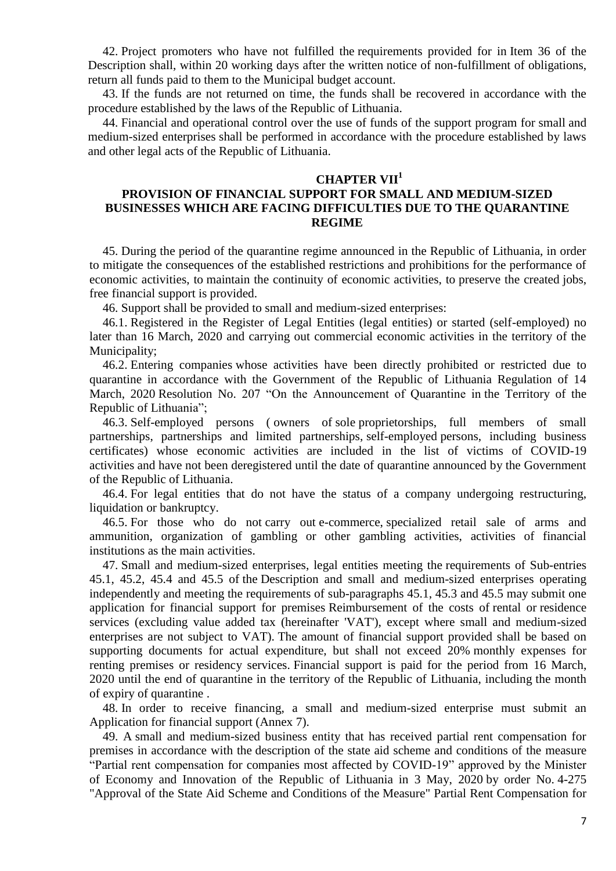42. Project promoters who have not fulfilled the requirements provided for in Item 36 of the Description shall, within 20 working days after the written notice of non-fulfillment of obligations, return all funds paid to them to the Municipal budget account.

43. If the funds are not returned on time, the funds shall be recovered in accordance with the procedure established by the laws of the Republic of Lithuania.

44. Financial and operational control over the use of funds of the support program for small and medium-sized enterprises shall be performed in accordance with the procedure established by laws and other legal acts of the Republic of Lithuania.

#### **CHAPTER VII<sup>1</sup>**

### **PROVISION OF FINANCIAL SUPPORT FOR SMALL AND MEDIUM-SIZED BUSINESSES WHICH ARE FACING DIFFICULTIES DUE TO THE QUARANTINE REGIME**

45. During the period of the quarantine regime announced in the Republic of Lithuania, in order to mitigate the consequences of the established restrictions and prohibitions for the performance of economic activities, to maintain the continuity of economic activities, to preserve the created jobs, free financial support is provided.

46. Support shall be provided to small and medium-sized enterprises:

46.1. Registered in the Register of Legal Entities (legal entities) or started (self-employed) no later than 16 March, 2020 and carrying out commercial economic activities in the territory of the Municipality;

46.2. Entering companies whose activities have been directly prohibited or restricted due to quarantine in accordance with the Government of the Republic of Lithuania Regulation of 14 March, 2020 Resolution No. 207 "On the Announcement of Quarantine in the Territory of the Republic of Lithuania";

46.3. Self-employed persons ( owners of sole proprietorships, full members of small partnerships, partnerships and limited partnerships, self-employed persons, including business certificates) whose economic activities are included in the list of victims of COVID-19 activities and have not been deregistered until the date of quarantine announced by the Government of the Republic of Lithuania.

46.4. For legal entities that do not have the status of a company undergoing restructuring, liquidation or bankruptcy.

46.5. For those who do not carry out e-commerce, specialized retail sale of arms and ammunition, organization of gambling or other gambling activities, activities of financial institutions as the main activities.

47. Small and medium-sized enterprises, legal entities meeting the requirements of Sub-entries 45.1, 45.2, 45.4 and 45.5 of the Description and small and medium-sized enterprises operating independently and meeting the requirements of sub-paragraphs 45.1, 45.3 and 45.5 may submit one application for financial support for premises Reimbursement of the costs of rental or residence services (excluding value added tax (hereinafter 'VAT'), except where small and medium-sized enterprises are not subject to VAT). The amount of financial support provided shall be based on supporting documents for actual expenditure, but shall not exceed 20% monthly expenses for renting premises or residency services. Financial support is paid for the period from 16 March, 2020 until the end of quarantine in the territory of the Republic of Lithuania, including the month of expiry of quarantine .

48. In order to receive financing, a small and medium-sized enterprise must submit an Application for financial support (Annex 7).

49. A small and medium-sized business entity that has received partial rent compensation for premises in accordance with the description of the state aid scheme and conditions of the measure "Partial rent compensation for companies most affected by COVID-19" approved by the Minister of Economy and Innovation of the Republic of Lithuania in 3 May, 2020 by order No. 4-275 "Approval of the State Aid Scheme and Conditions of the Measure" Partial Rent Compensation for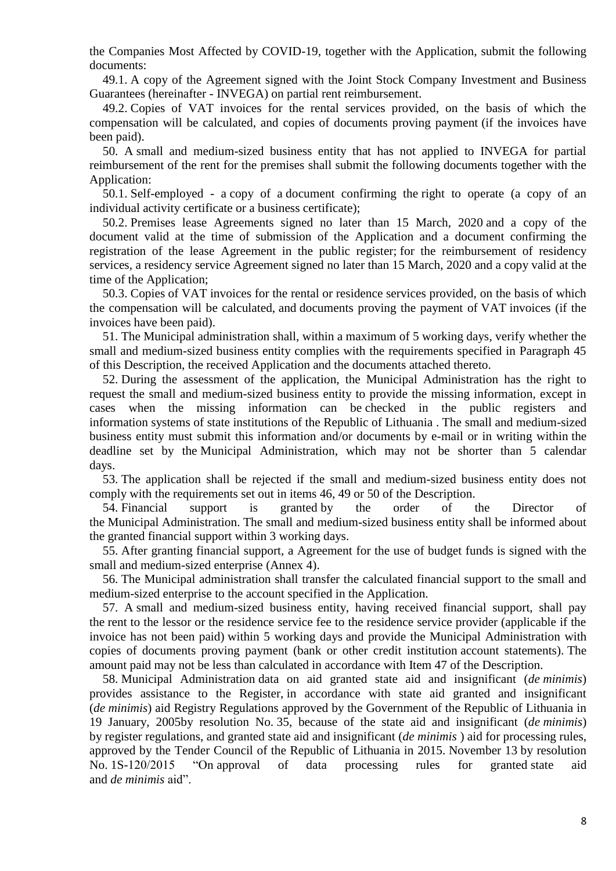the Companies Most Affected by COVID-19, together with the Application, submit the following documents:

49.1. A copy of the Agreement signed with the Joint Stock Company Investment and Business Guarantees (hereinafter - INVEGA) on partial rent reimbursement.

49.2. Copies of VAT invoices for the rental services provided, on the basis of which the compensation will be calculated, and copies of documents proving payment (if the invoices have been paid).

50. A small and medium-sized business entity that has not applied to INVEGA for partial reimbursement of the rent for the premises shall submit the following documents together with the Application:

50.1. Self-employed - a copy of a document confirming the right to operate (a copy of an individual activity certificate or a business certificate);

50.2. Premises lease Agreements signed no later than 15 March, 2020 and a copy of the document valid at the time of submission of the Application and a document confirming the registration of the lease Agreement in the public register; for the reimbursement of residency services, a residency service Agreement signed no later than 15 March, 2020 and a copy valid at the time of the Application;

50.3. Copies of VAT invoices for the rental or residence services provided, on the basis of which the compensation will be calculated, and documents proving the payment of VAT invoices (if the invoices have been paid).

51. The Municipal administration shall, within a maximum of 5 working days, verify whether the small and medium-sized business entity complies with the requirements specified in Paragraph 45 of this Description, the received Application and the documents attached thereto.

52. During the assessment of the application, the Municipal Administration has the right to request the small and medium-sized business entity to provide the missing information, except in cases when the missing information can be checked in the public registers and information systems of state institutions of the Republic of Lithuania . The small and medium-sized business entity must submit this information and/or documents by e-mail or in writing within the deadline set by the Municipal Administration, which may not be shorter than 5 calendar days.

53. The application shall be rejected if the small and medium-sized business entity does not comply with the requirements set out in items 46, 49 or 50 of the Description.

54. Financial support is granted by the order of the Director of the Municipal Administration. The small and medium-sized business entity shall be informed about the granted financial support within 3 working days.

55. After granting financial support, a Agreement for the use of budget funds is signed with the small and medium-sized enterprise (Annex 4).

56. The Municipal administration shall transfer the calculated financial support to the small and medium-sized enterprise to the account specified in the Application.

57. A small and medium-sized business entity, having received financial support, shall pay the rent to the lessor or the residence service fee to the residence service provider (applicable if the invoice has not been paid) within 5 working days and provide the Municipal Administration with copies of documents proving payment (bank or other credit institution account statements). The amount paid may not be less than calculated in accordance with Item 47 of the Description.

58. Municipal Administration data on aid granted state aid and insignificant (*de minimis*) provides assistance to the Register, in accordance with state aid granted and insignificant (*de minimis*) aid Registry Regulations approved by the Government of the Republic of Lithuania in 19 January, 2005by resolution No. 35, because of the state aid and insignificant (*de minimis*) by register regulations, and granted state aid and insignificant (*de minimis* ) aid for processing rules, approved by the Tender Council of the Republic of Lithuania in 2015. November 13 by resolution No. 1S-120/2015 "On approval of data processing rules for granted state aid and *de minimis* aid".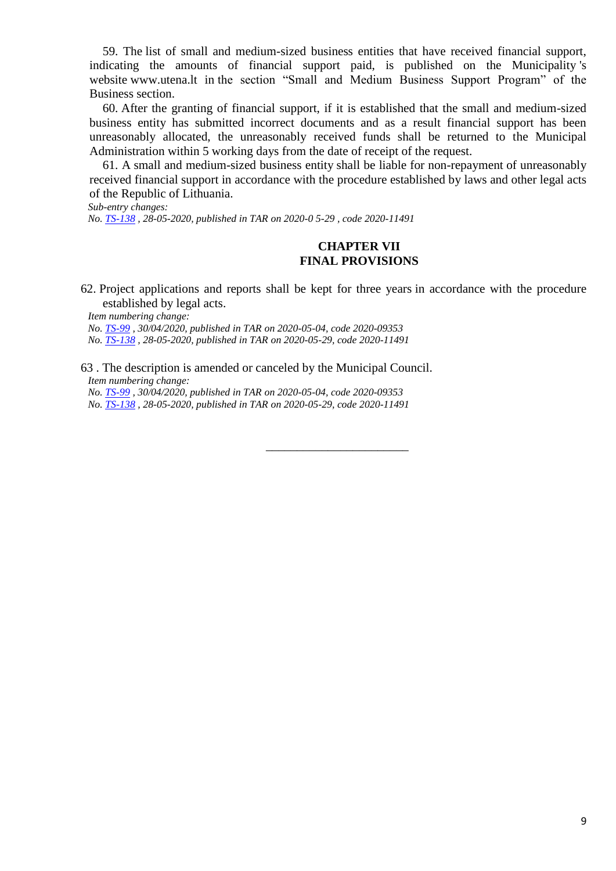59. The list of small and medium-sized business entities that have received financial support, indicating the amounts of financial support paid, is published on the Municipality 's website www.utena.lt in the section "Small and Medium Business Support Program" of the Business section.

60. After the granting of financial support, if it is established that the small and medium-sized business entity has submitted incorrect documents and as a result financial support has been unreasonably allocated, the unreasonably received funds shall be returned to the Municipal Administration within 5 working days from the date of receipt of the request.

61. A small and medium-sized business entity shall be liable for non-repayment of unreasonably received financial support in accordance with the procedure established by laws and other legal acts of the Republic of Lithuania.

*Sub-entry changes:*

*No. TS-138 , 28-05-2020, published in TAR on 2020-0 5-29 , code 2020-11491*

### **CHAPTER VII FINAL PROVISIONS**

62. Project applications and reports shall be kept for three years in accordance with the procedure established by legal acts.

\_\_\_\_\_\_\_\_\_\_\_\_\_\_\_\_\_\_\_\_\_\_\_

*Item numbering change:*

*No. TS-99 , 30/04/2020, published in TAR on 2020-05-04, code 2020-09353 No. TS-138 , 28-05-2020, published in TAR on 2020-05-29, code 2020-11491*

63 . The description is amended or canceled by the Municipal Council. *Item numbering change:*

*No. TS-99 , 30/04/2020, published in TAR on 2020-05-04, code 2020-09353 No. TS-138 , 28-05-2020, published in TAR on 2020-05-29, code 2020-11491*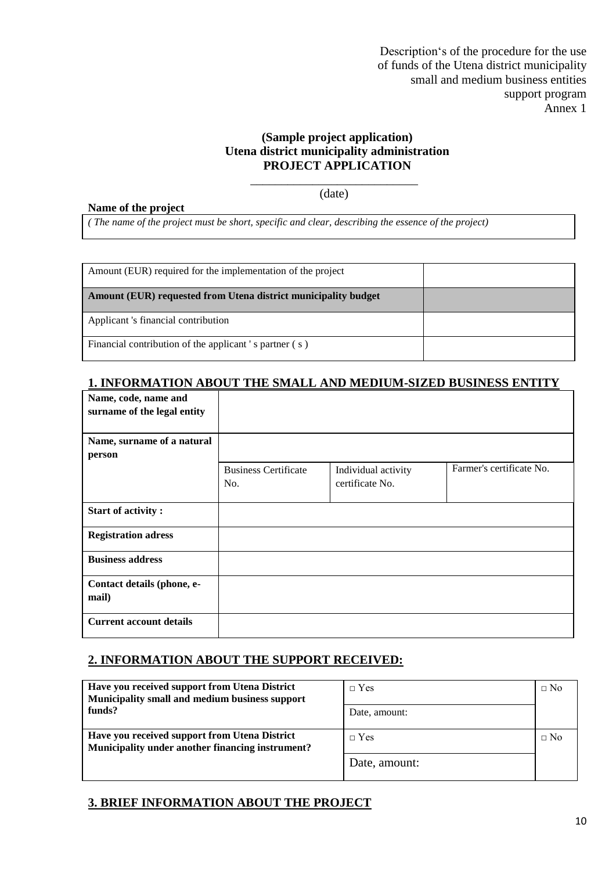### **(Sample project application) Utena district municipality administration PROJECT APPLICATION**

\_\_\_\_\_\_\_\_\_\_\_\_\_\_\_\_\_\_\_\_\_\_\_\_\_\_\_ (date)

#### **Name of the project**

*( The name of the project must be short, specific and clear, describing the essence of the project)*

| Amount (EUR) required for the implementation of the project    |  |
|----------------------------------------------------------------|--|
| Amount (EUR) requested from Utena district municipality budget |  |
| Applicant 's financial contribution                            |  |
| Financial contribution of the applicant 's partner (s)         |  |

## **1. INFORMATION ABOUT THE SMALL AND MEDIUM-SIZED BUSINESS ENTITY**

| Name, code, name and<br>surname of the legal entity |                                    |                                        |                          |
|-----------------------------------------------------|------------------------------------|----------------------------------------|--------------------------|
| Name, surname of a natural<br>person                |                                    |                                        |                          |
|                                                     | <b>Business Certificate</b><br>No. | Individual activity<br>certificate No. | Farmer's certificate No. |
| <b>Start of activity:</b>                           |                                    |                                        |                          |
| <b>Registration adress</b>                          |                                    |                                        |                          |
| <b>Business address</b>                             |                                    |                                        |                          |
| Contact details (phone, e-<br>mail)                 |                                    |                                        |                          |
| <b>Current account details</b>                      |                                    |                                        |                          |

### **2. INFORMATION ABOUT THE SUPPORT RECEIVED:**

| Have you received support from Utena District<br>Municipality small and medium business support<br>funds? | $\Box$ Yes<br>Date, amount: | $\Box$ No |
|-----------------------------------------------------------------------------------------------------------|-----------------------------|-----------|
| Have you received support from Utena District<br>Municipality under another financing instrument?         | $\neg$ Yes                  | $\Box$ No |
|                                                                                                           | Date, amount:               |           |

### **3. BRIEF INFORMATION ABOUT THE PROJECT**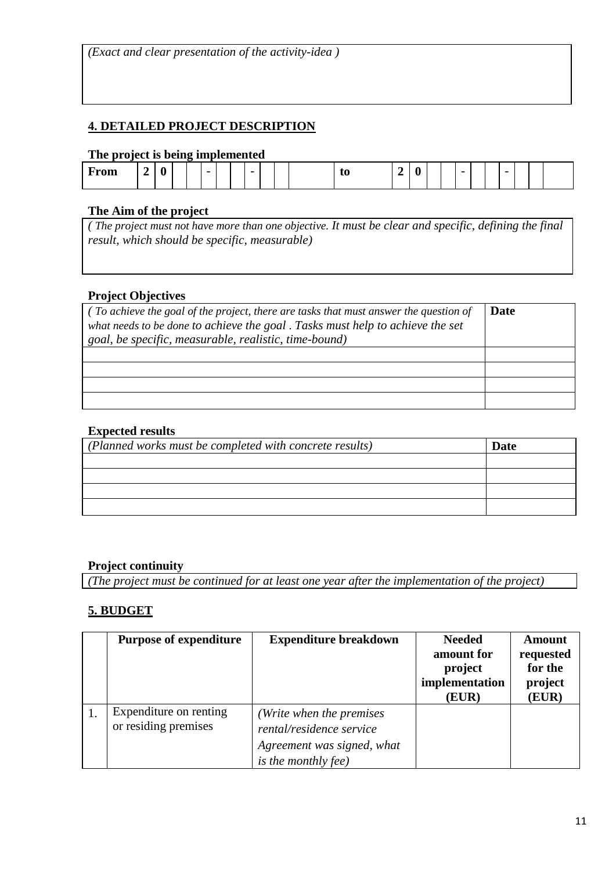*(Exact and clear presentation of the activity-idea )*

## **4. DETAILED PROJECT DESCRIPTION**

### **The project is being implemented**

|      |  | - |                          |  |   |  |   |     |  |             |  |                          |  |  |
|------|--|---|--------------------------|--|---|--|---|-----|--|-------------|--|--------------------------|--|--|
| From |  |   | $\overline{\phantom{0}}$ |  | - |  | w | . . |  | $\sim$<br>- |  | $\overline{\phantom{0}}$ |  |  |

### **The Aim of the project**

*( The project must not have more than one objective. It must be clear and specific, defining the final result, which should be specific, measurable)*

### **Project Objectives**

| $\int$ (To achieve the goal of the project, there are tasks that must answer the question of | Date |
|----------------------------------------------------------------------------------------------|------|
| what needs to be done to achieve the goal . Tasks must help to achieve the set               |      |
| goal, be specific, measurable, realistic, time-bound)                                        |      |
|                                                                                              |      |
|                                                                                              |      |
|                                                                                              |      |
|                                                                                              |      |

## **Expected results**

| Date |
|------|
|      |
|      |
|      |
|      |
|      |

### **Project continuity**

*(The project must be continued for at least one year after the implementation of the project)*

## **5. BUDGET**

| <b>Purpose of expenditure</b>                  | <b>Expenditure breakdown</b>                                                                                     | <b>Needed</b><br>amount for<br>project<br>implementation<br>(EUR) | <b>Amount</b><br>requested<br>for the<br>project<br>(EUR) |
|------------------------------------------------|------------------------------------------------------------------------------------------------------------------|-------------------------------------------------------------------|-----------------------------------------------------------|
| Expenditure on renting<br>or residing premises | (Write when the premises<br>rental/residence service<br>Agreement was signed, what<br><i>is the monthly fee)</i> |                                                                   |                                                           |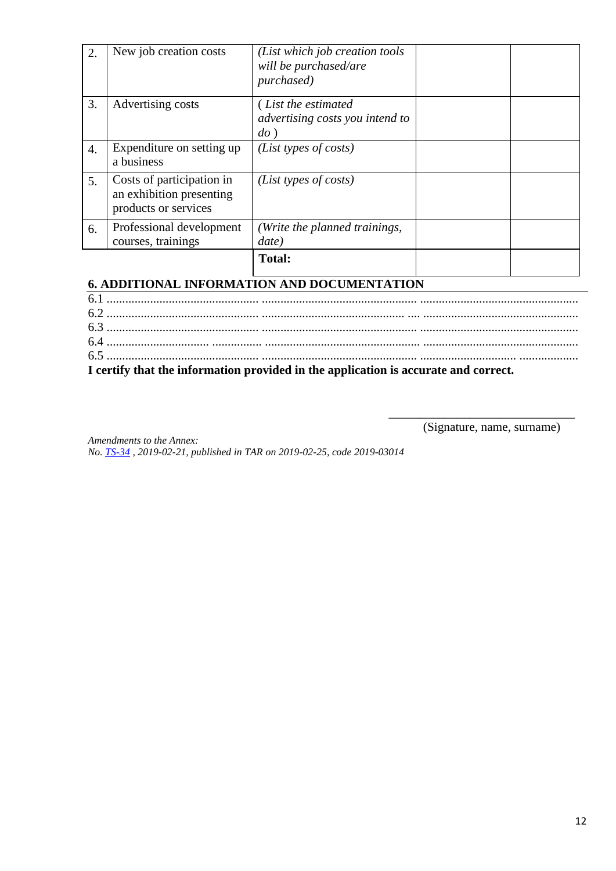| 2. | New job creation costs                                                        | (List which job creation tools<br>will be purchased/are<br>purchased) |  |
|----|-------------------------------------------------------------------------------|-----------------------------------------------------------------------|--|
| 3. | Advertising costs                                                             | (List the estimated<br>advertising costs you intend to<br>$do$ )      |  |
| 4. | Expenditure on setting up<br>a business                                       | (List types of costs)                                                 |  |
| 5. | Costs of participation in<br>an exhibition presenting<br>products or services | ( <i>List types of costs</i> )                                        |  |
| 6. | Professional development<br>courses, trainings                                | (Write the planned trainings,<br>date)                                |  |
|    |                                                                               | <b>Total:</b>                                                         |  |

# **6. ADDITIONAL INFORMATION AND DOCUMENTATION**

| I certify that the information provided in the application is accurate and correct. |  |
|-------------------------------------------------------------------------------------|--|

(Signature, name, surname)

\_\_\_\_\_\_\_\_\_\_\_\_\_\_\_\_\_\_\_\_\_\_\_\_\_\_\_\_\_\_

*Amendments to the Annex: No. TS-34 , 2019-02-21, published in TAR on 2019-02-25, code 2019-03014*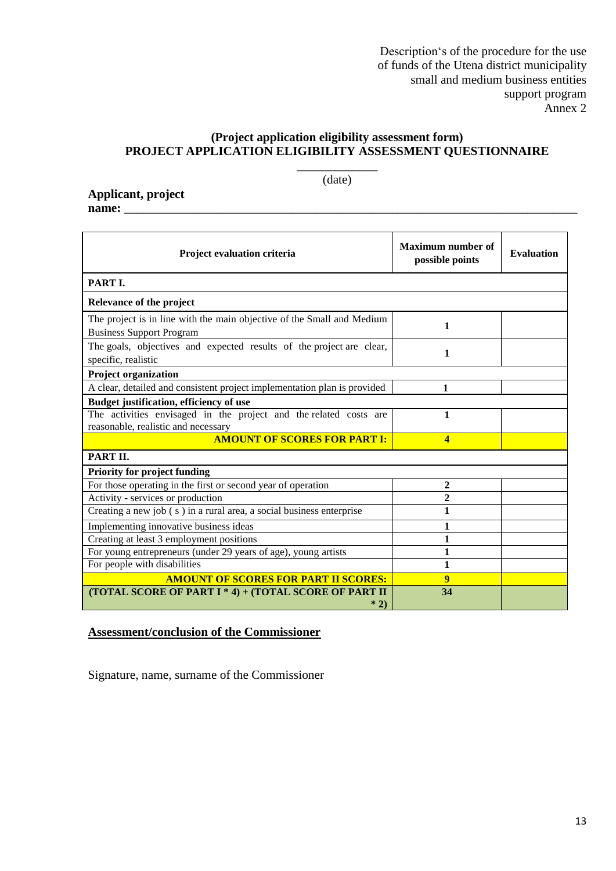### **(Project application eligibility assessment form) PROJECT APPLICATION ELIGIBILITY ASSESSMENT QUESTIONNAIRE**

**\_\_\_\_\_\_\_\_\_\_\_\_\_** (date)

**Applicant, project name:** \_\_\_\_\_\_\_\_\_\_\_\_\_\_\_\_\_\_\_\_\_\_\_\_\_\_\_\_\_\_\_\_\_\_\_\_\_\_\_\_\_\_\_\_\_\_\_\_\_\_\_\_\_\_\_\_\_\_\_\_\_\_\_\_\_\_\_\_\_\_\_\_\_

| Project evaluation criteria                                                                               | <b>Maximum number of</b><br>possible points | <b>Evaluation</b> |
|-----------------------------------------------------------------------------------------------------------|---------------------------------------------|-------------------|
| PART I.                                                                                                   |                                             |                   |
| Relevance of the project                                                                                  |                                             |                   |
| The project is in line with the main objective of the Small and Medium<br><b>Business Support Program</b> | 1                                           |                   |
| The goals, objectives and expected results of the project are clear,<br>specific, realistic               | 1                                           |                   |
| <b>Project organization</b>                                                                               |                                             |                   |
| A clear, detailed and consistent project implementation plan is provided                                  | 1                                           |                   |
| Budget justification, efficiency of use                                                                   |                                             |                   |
| The activities envisaged in the project and the related costs are                                         | 1                                           |                   |
| reasonable, realistic and necessary<br><b>AMOUNT OF SCORES FOR PART I:</b>                                | $\overline{\mathbf{4}}$                     |                   |
|                                                                                                           |                                             |                   |
| PART II.                                                                                                  |                                             |                   |
| <b>Priority for project funding</b>                                                                       |                                             |                   |
| For those operating in the first or second year of operation                                              | 2                                           |                   |
| Activity - services or production                                                                         | 2                                           |                   |
| Creating a new job (s) in a rural area, a social business enterprise                                      | 1                                           |                   |
| Implementing innovative business ideas                                                                    | 1                                           |                   |
| Creating at least 3 employment positions                                                                  | 1                                           |                   |
| For young entrepreneurs (under 29 years of age), young artists                                            | 1                                           |                   |
| For people with disabilities                                                                              | 1                                           |                   |
| <b>AMOUNT OF SCORES FOR PART II SCORES:</b>                                                               | 9                                           |                   |
| (TOTAL SCORE OF PART I * 4) + (TOTAL SCORE OF PART II<br>$*2)$                                            | 34                                          |                   |

## **Assessment/conclusion of the Commissioner**

Signature, name, surname of the Commissioner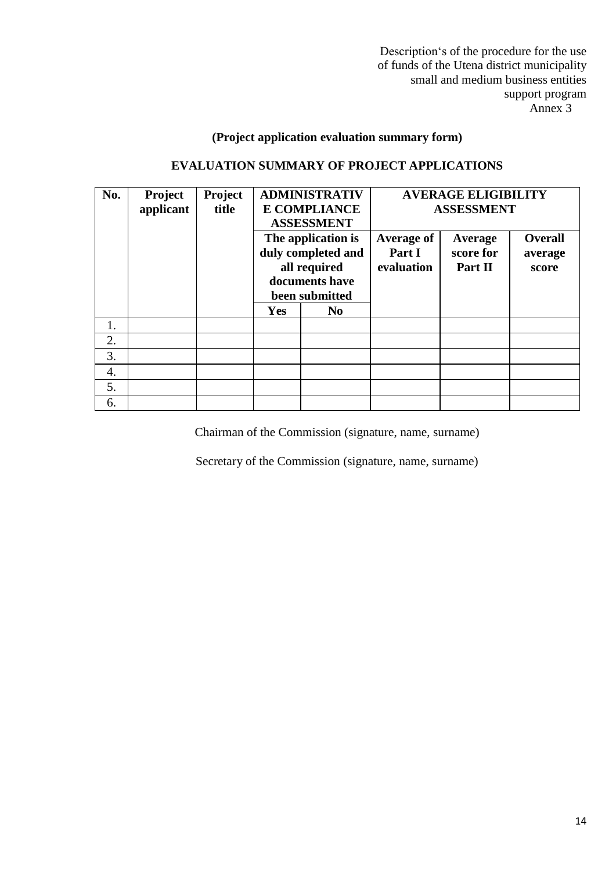## **(Project application evaluation summary form)**

## **EVALUATION SUMMARY OF PROJECT APPLICATIONS**

| No. | Project   | Project |                     | <b>ADMINISTRATIV</b> | <b>AVERAGE ELIGIBILITY</b> |           |                |  |
|-----|-----------|---------|---------------------|----------------------|----------------------------|-----------|----------------|--|
|     | applicant | title   | <b>E COMPLIANCE</b> |                      | <b>ASSESSMENT</b>          |           |                |  |
|     |           |         |                     | <b>ASSESSMENT</b>    |                            |           |                |  |
|     |           |         |                     | The application is   | <b>Average of</b>          | Average   | <b>Overall</b> |  |
|     |           |         |                     | duly completed and   | Part I                     | score for | average        |  |
|     |           |         | all required        |                      | evaluation                 | Part II   | score          |  |
|     |           |         | documents have      |                      |                            |           |                |  |
|     |           |         | been submitted      |                      |                            |           |                |  |
|     |           |         | <b>Yes</b>          | N <sub>0</sub>       |                            |           |                |  |
| 1.  |           |         |                     |                      |                            |           |                |  |
| 2.  |           |         |                     |                      |                            |           |                |  |
| 3.  |           |         |                     |                      |                            |           |                |  |
| 4.  |           |         |                     |                      |                            |           |                |  |
| 5.  |           |         |                     |                      |                            |           |                |  |
| 6.  |           |         |                     |                      |                            |           |                |  |

Chairman of the Commission (signature, name, surname)

Secretary of the Commission (signature, name, surname)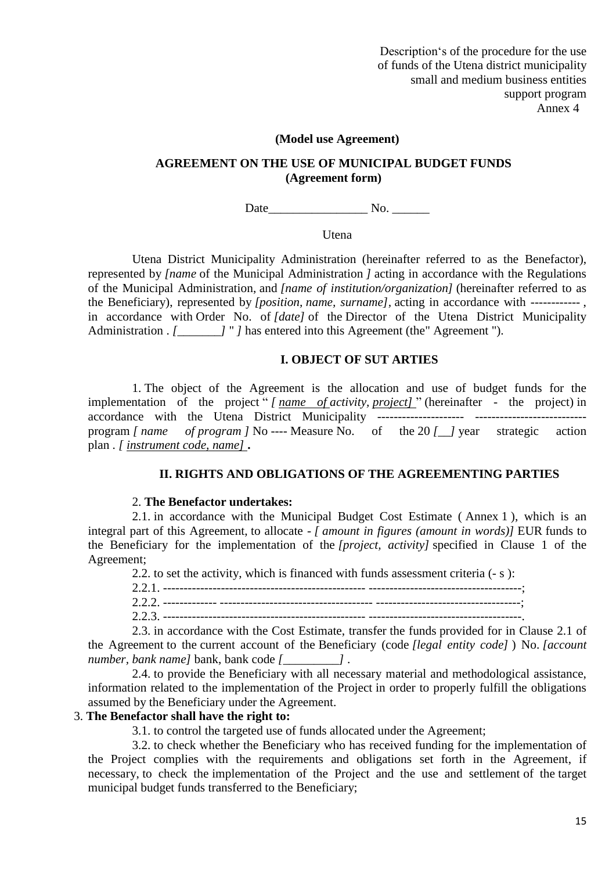#### **(Model use Agreement)**

### **AGREEMENT ON THE USE OF MUNICIPAL BUDGET FUNDS (Agreement form)**

Date No.

**U**tena

Utena District Municipality Administration (hereinafter referred to as the Benefactor), represented by *[name* of the Municipal Administration *]* acting in accordance with the Regulations of the Municipal Administration, and *[name of institution/organization]* (hereinafter referred to as the Beneficiary), represented by *[position, name, surname],* acting in accordance with ------------ , in accordance with Order No. of *[date]* of the Director of the Utena District Municipality Administration . *[\_\_\_\_\_\_]* " *]* has entered into this Agreement (the Agreement ").

#### **I. OBJECT OF SUT ARTIES**

1. The object of the Agreement is the allocation and use of budget funds for the implementation of the project " *[ name of activity, project]* " (hereinafter - the project) in accordance with the Utena District Municipality --------------------- -------------------------- program *[ name of program ]* No ---- Measure No. of the 20 *[\_\_]* year strategic action plan . *[ instrument code, name]* **.**

### **II. RIGHTS AND OBLIGATIONS OF THE AGREEMENTING PARTIES**

#### 2. **The Benefactor undertakes:**

2.1. in accordance with the Municipal Budget Cost Estimate ( Annex 1 ), which is an integral part of this Agreement, to allocate - *[ amount in figures (amount in words)]* EUR funds to the Beneficiary for the implementation of the *[project, activity]* specified in Clause 1 of the Agreement;

2.2. to set the activity, which is financed with funds assessment criteria (- s ):

2.2.1. ------------------------------------------------- -------------------------------------;

2.2.2. ------------- ------------------------------------- -----------------------------------;

2.2.3. ------------------------------------------------- -------------------------------------.

2.3. in accordance with the Cost Estimate, transfer the funds provided for in Clause 2.1 of the Agreement to the current account of the Beneficiary (code *[legal entity code]* ) No. *[account number, bank name]* bank, bank code *[\_\_\_\_\_\_\_\_\_]* .

2.4. to provide the Beneficiary with all necessary material and methodological assistance, information related to the implementation of the Project in order to properly fulfill the obligations assumed by the Beneficiary under the Agreement.

### 3. **The Benefactor shall have the right to:**

3.1. to control the targeted use of funds allocated under the Agreement;

3.2. to check whether the Beneficiary who has received funding for the implementation of the Project complies with the requirements and obligations set forth in the Agreement, if necessary, to check the implementation of the Project and the use and settlement of the target municipal budget funds transferred to the Beneficiary;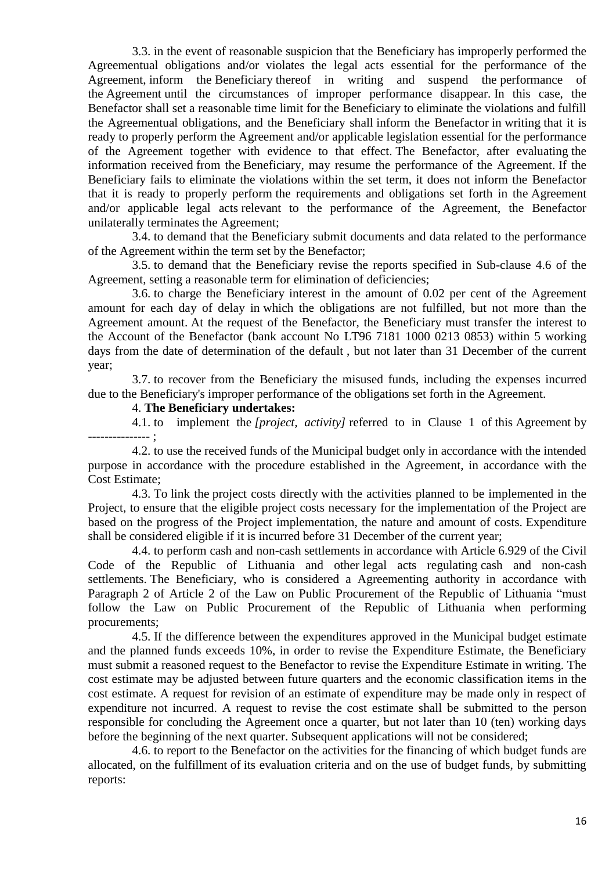3.3. in the event of reasonable suspicion that the Beneficiary has improperly performed the Agreementual obligations and/or violates the legal acts essential for the performance of the Agreement, inform the Beneficiary thereof in writing and suspend the performance of the Agreement until the circumstances of improper performance disappear. In this case, the Benefactor shall set a reasonable time limit for the Beneficiary to eliminate the violations and fulfill the Agreementual obligations, and the Beneficiary shall inform the Benefactor in writing that it is ready to properly perform the Agreement and/or applicable legislation essential for the performance of the Agreement together with evidence to that effect. The Benefactor, after evaluating the information received from the Beneficiary, may resume the performance of the Agreement. If the Beneficiary fails to eliminate the violations within the set term, it does not inform the Benefactor that it is ready to properly perform the requirements and obligations set forth in the Agreement and/or applicable legal acts relevant to the performance of the Agreement, the Benefactor unilaterally terminates the Agreement;

3.4. to demand that the Beneficiary submit documents and data related to the performance of the Agreement within the term set by the Benefactor;

3.5. to demand that the Beneficiary revise the reports specified in Sub-clause 4.6 of the Agreement, setting a reasonable term for elimination of deficiencies;

3.6. to charge the Beneficiary interest in the amount of 0.02 per cent of the Agreement amount for each day of delay in which the obligations are not fulfilled, but not more than the Agreement amount. At the request of the Benefactor, the Beneficiary must transfer the interest to the Account of the Benefactor (bank account No LT96 7181 1000 0213 0853) within 5 working days from the date of determination of the default , but not later than 31 December of the current year;

3.7. to recover from the Beneficiary the misused funds, including the expenses incurred due to the Beneficiary's improper performance of the obligations set forth in the Agreement.

4. **The Beneficiary undertakes:**

4.1. to implement the *[project, activity]* referred to in Clause 1 of this Agreement by --------------- ;

4.2. to use the received funds of the Municipal budget only in accordance with the intended purpose in accordance with the procedure established in the Agreement, in accordance with the Cost Estimate;

4.3. To link the project costs directly with the activities planned to be implemented in the Project, to ensure that the eligible project costs necessary for the implementation of the Project are based on the progress of the Project implementation, the nature and amount of costs. Expenditure shall be considered eligible if it is incurred before 31 December of the current year;

4.4. to perform cash and non-cash settlements in accordance with Article 6.929 of the Civil Code of the Republic of Lithuania and other legal acts regulating cash and non-cash settlements. The Beneficiary, who is considered a Agreementing authority in accordance with Paragraph 2 of Article 2 of the Law on Public Procurement of the Republic of Lithuania "must follow the Law on Public Procurement of the Republic of Lithuania when performing procurements;

4.5. If the difference between the expenditures approved in the Municipal budget estimate and the planned funds exceeds 10%, in order to revise the Expenditure Estimate, the Beneficiary must submit a reasoned request to the Benefactor to revise the Expenditure Estimate in writing. The cost estimate may be adjusted between future quarters and the economic classification items in the cost estimate. A request for revision of an estimate of expenditure may be made only in respect of expenditure not incurred. A request to revise the cost estimate shall be submitted to the person responsible for concluding the Agreement once a quarter, but not later than 10 (ten) working days before the beginning of the next quarter. Subsequent applications will not be considered;

4.6. to report to the Benefactor on the activities for the financing of which budget funds are allocated, on the fulfillment of its evaluation criteria and on the use of budget funds, by submitting reports: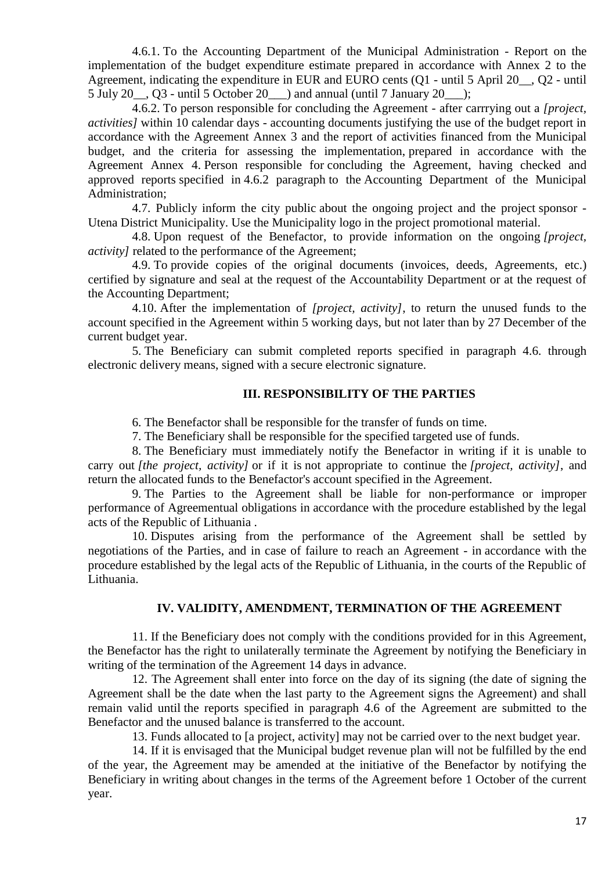4.6.1. To the Accounting Department of the Municipal Administration - Report on the implementation of the budget expenditure estimate prepared in accordance with Annex 2 to the Agreement, indicating the expenditure in EUR and EURO cents (Q1 - until 5 April 20\_\_, Q2 - until 5 July 20 $\ldots$  Q3 - until 5 October 20  $\ldots$  and annual (until 7 January 20 $\ldots$ );

4.6.2. To person responsible for concluding the Agreement - after carrrying out a *[project, activities]* within 10 calendar days - accounting documents justifying the use of the budget report in accordance with the Agreement Annex 3 and the report of activities financed from the Municipal budget, and the criteria for assessing the implementation, prepared in accordance with the Agreement Annex 4. Person responsible for concluding the Agreement, having checked and approved reports specified in 4.6.2 paragraph to the Accounting Department of the Municipal Administration;

4.7. Publicly inform the city public about the ongoing project and the project sponsor - Utena District Municipality. Use the Municipality logo in the project promotional material.

4.8. Upon request of the Benefactor, to provide information on the ongoing *[project, activity* related to the performance of the Agreement;

4.9. To provide copies of the original documents (invoices, deeds, Agreements, etc.) certified by signature and seal at the request of the Accountability Department or at the request of the Accounting Department;

4.10. After the implementation of *[project, activity]*, to return the unused funds to the account specified in the Agreement within 5 working days, but not later than by 27 December of the current budget year.

5. The Beneficiary can submit completed reports specified in paragraph 4.6. through electronic delivery means, signed with a secure electronic signature.

## **III. RESPONSIBILITY OF THE PARTIES**

6. The Benefactor shall be responsible for the transfer of funds on time.

7. The Beneficiary shall be responsible for the specified targeted use of funds.

8. The Beneficiary must immediately notify the Benefactor in writing if it is unable to carry out *[the project, activity]* or if it is not appropriate to continue the *[project, activity]*, and return the allocated funds to the Benefactor's account specified in the Agreement.

9. The Parties to the Agreement shall be liable for non-performance or improper performance of Agreementual obligations in accordance with the procedure established by the legal acts of the Republic of Lithuania .

10. Disputes arising from the performance of the Agreement shall be settled by negotiations of the Parties, and in case of failure to reach an Agreement - in accordance with the procedure established by the legal acts of the Republic of Lithuania, in the courts of the Republic of Lithuania.

### **IV. VALIDITY, AMENDMENT, TERMINATION OF THE AGREEMENT**

11. If the Beneficiary does not comply with the conditions provided for in this Agreement, the Benefactor has the right to unilaterally terminate the Agreement by notifying the Beneficiary in writing of the termination of the Agreement 14 days in advance.

12. The Agreement shall enter into force on the day of its signing (the date of signing the Agreement shall be the date when the last party to the Agreement signs the Agreement) and shall remain valid until the reports specified in paragraph 4.6 of the Agreement are submitted to the Benefactor and the unused balance is transferred to the account.

13. Funds allocated to [a project, activity] may not be carried over to the next budget year.

14. If it is envisaged that the Municipal budget revenue plan will not be fulfilled by the end of the year, the Agreement may be amended at the initiative of the Benefactor by notifying the Beneficiary in writing about changes in the terms of the Agreement before 1 October of the current year.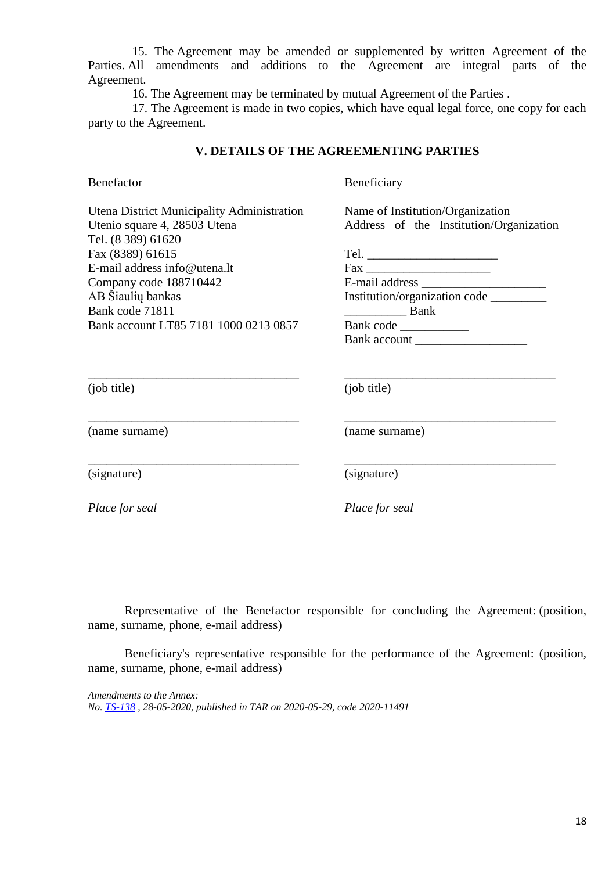15. The Agreement may be amended or supplemented by written Agreement of the Parties. All amendments and additions to the Agreement are integral parts of the Agreement.

16. The Agreement may be terminated by mutual Agreement of the Parties .

17. The Agreement is made in two copies, which have equal legal force, one copy for each party to the Agreement.

### **V. DETAILS OF THE AGREEMENTING PARTIES**

Benefactor

Beneficiary

Name of Institution/Organization Address of the Institution/Organization

Institution/organization code \_\_\_\_\_\_\_\_\_

Bank account \_\_\_\_\_\_\_\_\_\_\_\_\_\_\_\_\_\_

\_\_\_\_\_\_\_\_\_\_\_\_\_\_\_\_\_\_\_\_\_\_\_\_\_\_\_\_\_\_\_\_\_\_

\_\_\_\_\_\_\_\_\_\_\_\_\_\_\_\_\_\_\_\_\_\_\_\_\_\_\_\_\_\_\_\_\_\_

Tel. \_\_\_\_\_\_\_\_\_\_\_\_\_\_\_\_\_\_\_\_\_ Fax \_\_\_\_\_\_\_\_\_\_\_\_\_\_\_\_\_\_\_\_ E-mail address \_\_\_\_\_\_\_\_\_\_\_\_\_\_\_\_\_\_\_\_

\_\_\_\_\_\_\_\_\_\_ Bank Bank code \_\_\_\_\_\_\_\_\_\_\_

| Utena District Municipality Administration |
|--------------------------------------------|
| Utenio square 4, 28503 Utena               |
| Tel. (8 389) 61620                         |
| Fax (8389) 61615                           |
| E-mail address info@utena.lt               |
| Company code 188710442                     |
| AB Šiaulių bankas                          |
| Bank code 71811                            |
| Bank account LT85 7181 1000 0213 0857      |

\_\_\_\_\_\_\_\_\_\_\_\_\_\_\_\_\_\_\_\_\_\_\_\_\_\_\_\_\_\_\_\_\_\_

\_\_\_\_\_\_\_\_\_\_\_\_\_\_\_\_\_\_\_\_\_\_\_\_\_\_\_\_\_\_\_\_\_\_

\_\_\_\_\_\_\_\_\_\_\_\_\_\_\_\_\_\_\_\_\_\_\_\_\_\_\_\_\_\_\_\_\_\_

(job title)

\_\_\_\_\_\_\_\_\_\_\_\_\_\_\_\_\_\_\_\_\_\_\_\_\_\_\_\_\_\_\_\_\_\_ (job title)

(name surname)

(name surname)

(signature)

*Place for seal Place for seal*

(signature)

Representative of the Benefactor responsible for concluding the Agreement: (position, name, surname, phone, e-mail address)

Beneficiary's representative responsible for the performance of the Agreement: (position, name, surname, phone, e-mail address)

*Amendments to the Annex: No. TS-138 , 28-05-2020, published in TAR on 2020-05-29, code 2020-11491*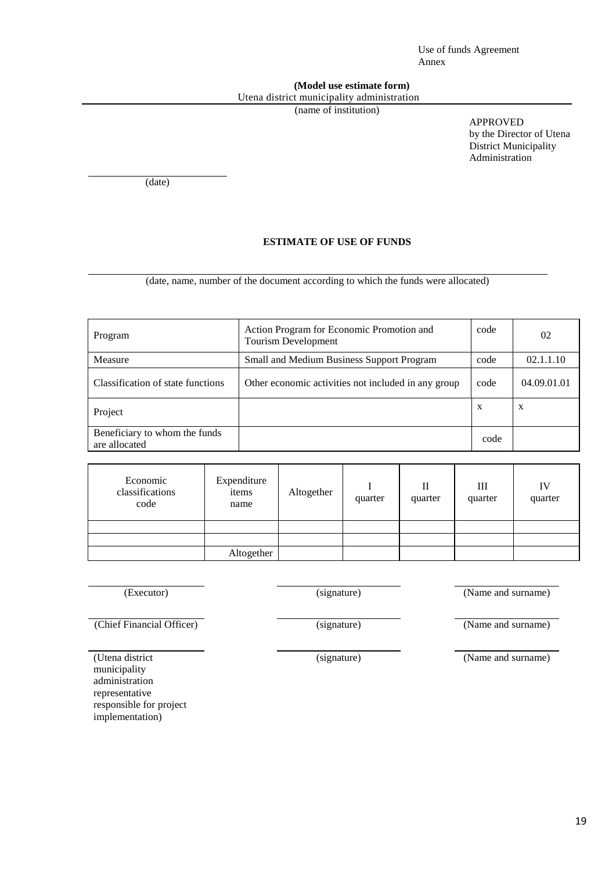Use of funds Agreement Annex

#### **(Model use estimate form)** Utena district municipality administration

(name of institution)

APPROVED by the Director of Utena District Municipality Administration

(date)

#### **ESTIMATE OF USE OF FUNDS**

(date, name, number of the document according to which the funds were allocated)

| Program                                        | Action Program for Economic Promotion and<br><b>Tourism Development</b> | code | 02                        |
|------------------------------------------------|-------------------------------------------------------------------------|------|---------------------------|
| Measure                                        | Small and Medium Business Support Program                               | code | 02.1.1.10                 |
| Classification of state functions              | Other economic activities not included in any group                     | code | 04.09.01.01               |
| Project                                        |                                                                         | X    | $\boldsymbol{\mathrm{X}}$ |
| Beneficiary to whom the funds<br>are allocated |                                                                         | code |                           |

| Economic<br>classifications<br>code | Expenditure<br>items<br>name | Altogether | quarter | $_{\rm II}$<br>quarter | Ш<br>quarter | IV<br>quarter |  |
|-------------------------------------|------------------------------|------------|---------|------------------------|--------------|---------------|--|
|                                     |                              |            |         |                        |              |               |  |
|                                     |                              |            |         |                        |              |               |  |
|                                     | Altogether                   |            |         |                        |              |               |  |

(Executor) (signature) (Signature) (Name and surname)

(Chief Financial Officer) (signature) (Name and surname)

(signature) (Name and surname)

(Utena district municipality administration representative responsible for project implementation)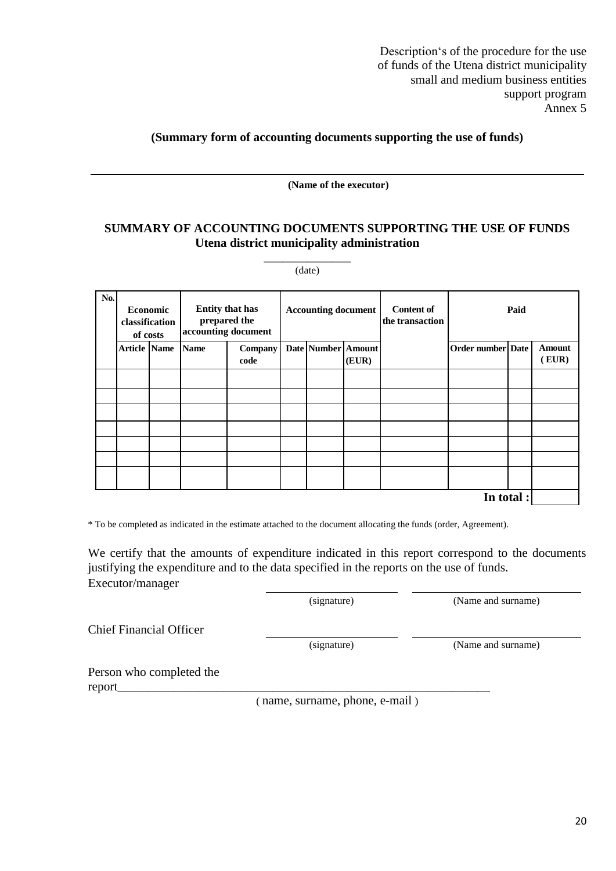### **(Summary form of accounting documents supporting the use of funds)**

**(Name of the executor)**

### **SUMMARY OF ACCOUNTING DOCUMENTS SUPPORTING THE USE OF FUNDS Utena district municipality administration**

\_\_\_\_\_\_\_\_\_\_\_\_\_\_ (date)

| No. | <b>Economic</b><br>classification<br>of costs |  | <b>Entity that has</b><br>prepared the<br>accounting document |                 | <b>Accounting document</b> |                           |       | <b>Content of</b><br>the transaction | Paid              |  |                 |  |
|-----|-----------------------------------------------|--|---------------------------------------------------------------|-----------------|----------------------------|---------------------------|-------|--------------------------------------|-------------------|--|-----------------|--|
|     | <b>Article Name</b>                           |  | <b>Name</b>                                                   | Company<br>code |                            | <b>Date Number Amount</b> | (EUR) |                                      | Order number Date |  | Amount<br>(EUR) |  |
|     |                                               |  |                                                               |                 |                            |                           |       |                                      |                   |  |                 |  |
|     |                                               |  |                                                               |                 |                            |                           |       |                                      |                   |  |                 |  |
|     |                                               |  |                                                               |                 |                            |                           |       |                                      |                   |  |                 |  |
|     |                                               |  |                                                               |                 |                            |                           |       |                                      |                   |  |                 |  |
|     |                                               |  |                                                               |                 |                            |                           |       |                                      |                   |  |                 |  |
|     |                                               |  |                                                               |                 |                            |                           |       |                                      |                   |  |                 |  |
|     |                                               |  |                                                               |                 |                            |                           |       |                                      |                   |  |                 |  |

**In total :**

\* To be completed as indicated in the estimate attached to the document allocating the funds (order, Agreement).

We certify that the amounts of expenditure indicated in this report correspond to the documents justifying the expenditure and to the data specified in the reports on the use of funds. Executor/manager

(signature) (Name and surname)

Chief Financial Officer

(signature) (Name and surname)

Person who completed the report\_\_\_\_\_\_\_\_\_\_\_\_\_\_\_\_\_\_\_\_\_\_\_\_\_\_\_\_\_\_\_\_\_\_\_\_\_\_\_\_\_\_\_\_\_\_\_\_\_\_\_\_\_\_\_\_\_\_\_\_

( name, surname, phone, e-mail )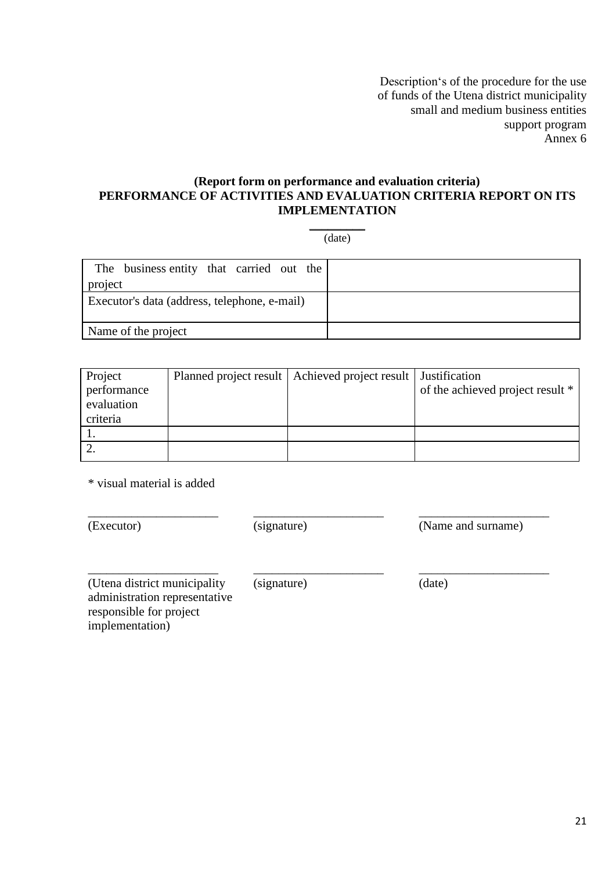### **(Report form on performance and evaluation criteria) PERFORMANCE OF ACTIVITIES AND EVALUATION CRITERIA REPORT ON ITS IMPLEMENTATION**

 $\overline{\phantom{a}}$ (date)

| The business entity that carried out the     |  |
|----------------------------------------------|--|
| project                                      |  |
| Executor's data (address, telephone, e-mail) |  |
| Name of the project                          |  |

| Project<br>performance<br>evaluation<br>criteria | Planned project result   Achieved project result   Justification | of the achieved project result * |
|--------------------------------------------------|------------------------------------------------------------------|----------------------------------|
|                                                  |                                                                  |                                  |
|                                                  |                                                                  |                                  |

\_\_\_\_\_\_\_\_\_\_\_\_\_\_\_\_\_\_\_\_\_

\* visual material is added

\_\_\_\_\_\_\_\_\_\_\_\_\_\_\_\_\_\_\_\_\_

\_\_\_\_\_\_\_\_\_\_\_\_\_\_\_\_\_\_\_\_\_

(Executor)

(signature)

(Name and surname)

\_\_\_\_\_\_\_\_\_\_\_\_\_\_\_\_\_\_\_\_\_

\_\_\_\_\_\_\_\_\_\_\_\_\_\_\_\_\_\_\_\_\_

(Utena district municipality administration representative responsible for project implementation)

\_\_\_\_\_\_\_\_\_\_\_\_\_\_\_\_\_\_\_\_\_ (signature)

(date)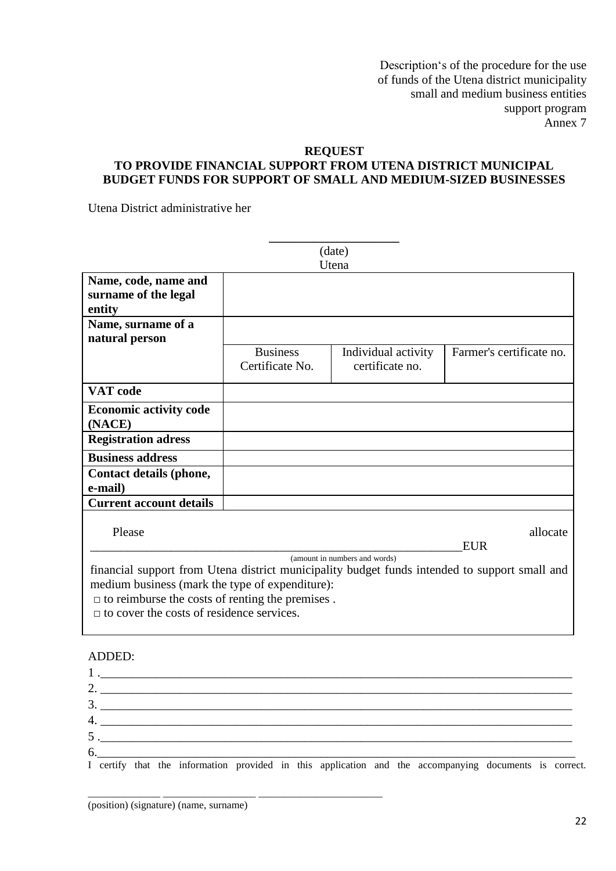## **REQUEST**

# **TO PROVIDE FINANCIAL SUPPORT FROM UTENA DISTRICT MUNICIPAL BUDGET FUNDS FOR SUPPORT OF SMALL AND MEDIUM-SIZED BUSINESSES**

Utena District administrative her

|                                                                                                                                                                                                                                                                                                 |                                    | (date)<br>Utena                        |                          |  |  |  |  |  |  |
|-------------------------------------------------------------------------------------------------------------------------------------------------------------------------------------------------------------------------------------------------------------------------------------------------|------------------------------------|----------------------------------------|--------------------------|--|--|--|--|--|--|
| Name, code, name and<br>surname of the legal<br>entity                                                                                                                                                                                                                                          |                                    |                                        |                          |  |  |  |  |  |  |
| Name, surname of a<br>natural person                                                                                                                                                                                                                                                            |                                    |                                        |                          |  |  |  |  |  |  |
|                                                                                                                                                                                                                                                                                                 | <b>Business</b><br>Certificate No. | Individual activity<br>certificate no. | Farmer's certificate no. |  |  |  |  |  |  |
| <b>VAT</b> code                                                                                                                                                                                                                                                                                 |                                    |                                        |                          |  |  |  |  |  |  |
| <b>Economic activity code</b><br>(NACE)                                                                                                                                                                                                                                                         |                                    |                                        |                          |  |  |  |  |  |  |
| <b>Registration adress</b>                                                                                                                                                                                                                                                                      |                                    |                                        |                          |  |  |  |  |  |  |
| <b>Business address</b>                                                                                                                                                                                                                                                                         |                                    |                                        |                          |  |  |  |  |  |  |
| Contact details (phone,<br>e-mail)                                                                                                                                                                                                                                                              |                                    |                                        |                          |  |  |  |  |  |  |
| <b>Current account details</b>                                                                                                                                                                                                                                                                  |                                    |                                        |                          |  |  |  |  |  |  |
| Please                                                                                                                                                                                                                                                                                          |                                    |                                        | allocate<br><b>EUR</b>   |  |  |  |  |  |  |
| (amount in numbers and words)<br>financial support from Utena district municipality budget funds intended to support small and<br>medium business (mark the type of expenditure):<br>$\Box$ to reimburse the costs of renting the premises.<br>$\Box$ to cover the costs of residence services. |                                    |                                        |                          |  |  |  |  |  |  |
| ADDED:                                                                                                                                                                                                                                                                                          |                                    |                                        |                          |  |  |  |  |  |  |

|  |  | $1.$ $\frac{1}{2}$ $\frac{1}{2}$ $\frac{1}{2}$ $\frac{1}{2}$ $\frac{1}{2}$ $\frac{1}{2}$ $\frac{1}{2}$ $\frac{1}{2}$ $\frac{1}{2}$ $\frac{1}{2}$ $\frac{1}{2}$ $\frac{1}{2}$ $\frac{1}{2}$ $\frac{1}{2}$ $\frac{1}{2}$ $\frac{1}{2}$ $\frac{1}{2}$ $\frac{1}{2}$ $\frac{1}{2}$ $\frac{1}{2}$ $\frac{1}{2}$ $\frac{1}{$ |  |  |  |                                                                                                        |  |  |
|--|--|------------------------------------------------------------------------------------------------------------------------------------------------------------------------------------------------------------------------------------------------------------------------------------------------------------------------|--|--|--|--------------------------------------------------------------------------------------------------------|--|--|
|  |  |                                                                                                                                                                                                                                                                                                                        |  |  |  | 2. $\overline{\phantom{a}}$                                                                            |  |  |
|  |  | $\frac{3}{2}$                                                                                                                                                                                                                                                                                                          |  |  |  |                                                                                                        |  |  |
|  |  |                                                                                                                                                                                                                                                                                                                        |  |  |  | $4.$ $\overline{\phantom{a}}$                                                                          |  |  |
|  |  |                                                                                                                                                                                                                                                                                                                        |  |  |  | $\mathbf{5}$ . $\blacksquare$                                                                          |  |  |
|  |  |                                                                                                                                                                                                                                                                                                                        |  |  |  |                                                                                                        |  |  |
|  |  |                                                                                                                                                                                                                                                                                                                        |  |  |  | I certify that the information provided in this application and the accompanying documents is correct. |  |  |

\_\_\_\_\_\_\_\_\_\_\_\_\_\_ \_\_\_\_\_\_\_\_\_\_\_\_\_\_\_\_\_\_ \_\_\_\_\_\_\_\_\_\_\_\_\_\_\_\_\_\_\_\_\_\_\_\_